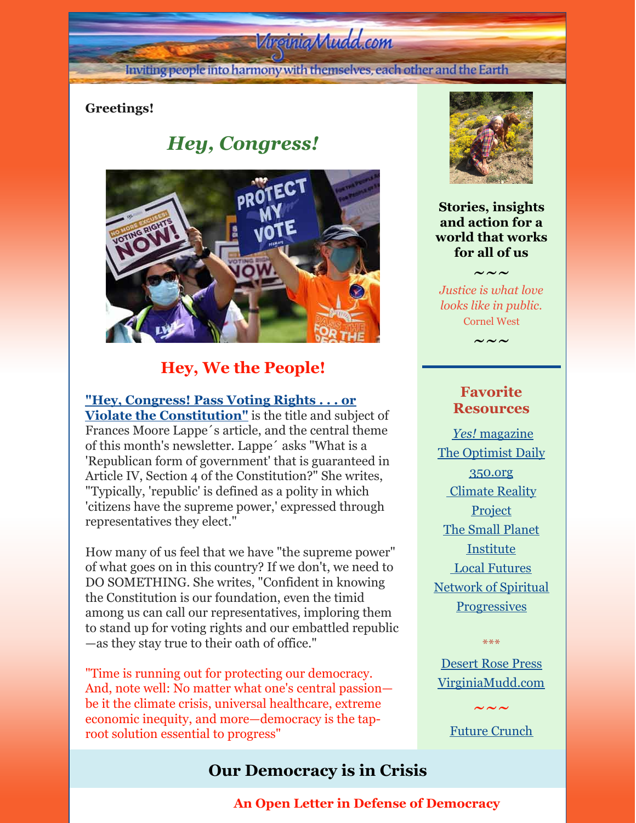# Virginia Mudd.com

Inviting people into harmony with themselves, each other and the Earth

### **Greetings!**

# *Hey, Congress!*



## **Hey, We the People!**

**"Hey, Congress! Pass Voting Rights . . . or Violate the [Constitution"](https://www.commondreams.org/views/2021/12/13/hey-congress-pass-voting-rightsor-violate-constitution)** is the title and subject of Frances Moore Lappe´s article, and the central theme of this month's newsletter. Lappe´ asks "What is a 'Republican form of government' that is guaranteed in Article IV, Section 4 of the Constitution?" She writes, "Typically, 'republic' is defined as a polity in which 'citizens have the supreme power,' expressed through representatives they elect."

How many of us feel that we have "the supreme power" of what goes on in this country? If we don't, we need to DO SOMETHING. She writes, "Confident in knowing the Constitution is our foundation, even the timid among us can call our representatives, imploring them to stand up for voting rights and our embattled republic —as they stay true to their oath of office."

"Time is running out for protecting our democracy. And, note well: No matter what one's central passion be it the climate crisis, universal healthcare, extreme economic inequity, and more—democracy is the taproot solution essential to progress"

### **Our Democracy is in Crisis**



**Stories, insights and action for a world that works for all of us**

 $\sim\sim\sim$ 

*Justice is what love looks like in public.* Cornel West

 $\sim\,\sim\,\sim$ 

### **Favorite Resources**

*[Yes!](http://www.yesmagazine.org/)* [magazine](http://www.yesmagazine.org/) The [Optimist](https://worldbusiness.org/optimist/) Daily [350.org](http://350.org/) [Climate](https://www.climaterealityproject.org/) Reality **Project** The Small Planet [Institute](http://smallplanet.org/) Local [Futures](http://www.localfutures.org/) Network of Spiritual **[Progressives](http://spiritualprogressives.org/newsite/)** 

[Desert](http://desertrosepress.com) Rose Press [VirginiaMudd.com](http://virginiamudd.com/index.html)

\*\*\*

 $\sim\sim\!\sim$ Future [Crunch](https://futurecrun.ch/goodnews)

### **An Open Letter in Defense of Democracy**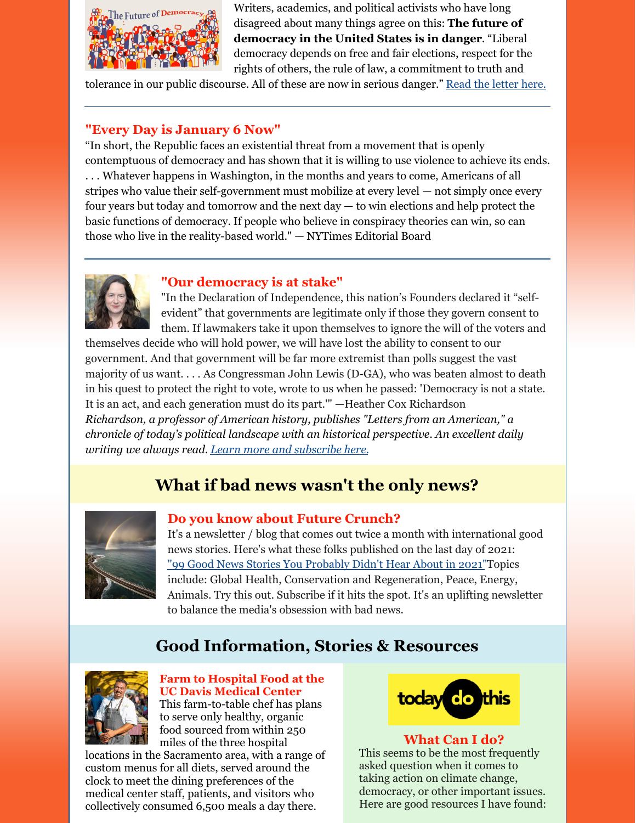

Writers, academics, and political activists who have long disagreed about many things agree on this: **The future of democracy in the United States is in danger**. "Liberal democracy depends on free and fair elections, respect for the rights of others, the rule of law, a commitment to truth and

tolerance in our public discourse. All of these are now in serious danger." Read the [letter](https://www.thebulwark.com/an-open-letter-in-defense-of-democracy/) here.

#### **"Every Day is January 6 Now"**

"In short, the Republic faces an existential threat from a movement that is openly contemptuous of democracy and has shown that it is willing to use violence to achieve its ends. . . . Whatever happens in Washington, in the months and years to come, Americans of all stripes who value their self-government must mobilize at every level — not simply once every four years but today and tomorrow and the next day — to win elections and help protect the basic functions of democracy. If people who believe in conspiracy theories can win, so can those who live in the reality-based world." — NYTimes Editorial Board



#### **"Our democracy is at stake"**

"In the Declaration of Independence, this nation's Founders declared it "selfevident" that governments are legitimate only if those they govern consent to them. If lawmakers take it upon themselves to ignore the will of the voters and

themselves decide who will hold power, we will have lost the ability to consent to our government. And that government will be far more extremist than polls suggest the vast majority of us want. . . . As Congressman John Lewis (D-GA), who was beaten almost to death in his quest to protect the right to vote, wrote to us when he passed: 'Democracy is not a state. It is an act, and each generation must do its part.'" —Heather Cox Richardson *Richardson, a professor of American history, publishes "Letters from an American," a chronicle of today's political landscape with an historical perspective. An excellent daily writing we always read. Learn more and [subscribe](https://heathercoxrichardson.substack.com/about?utm_source=subscribe_email&utm_content=learn_more) here.*

## **What if bad news wasn't the only news?**



**Do you know about Future Crunch?** It's a newsletter / blog that comes out twice a month with international good news stories. Here's what these folks published on the last day of 2021: "99 Good News Stories You [Probably](https://medium.com/future-crunch/99-goodnews-2021-2492e4fcacfb) Didn't Hear About in 2021"Topics include: Global Health, Conservation and Regeneration, Peace, Energy, Animals. Try this out. Subscribe if it hits the spot. It's an uplifting newsletter

### **Good Information, Stories & Resources**

to balance the media's obsession with bad news.



#### **Farm to Hospital Food at the UC Davis Medical Center**

This farm-to-table chef has plans to serve only healthy, organic food sourced from within 250 miles of the three hospital

locations in the Sacramento area, with a range of custom menus for all diets, served around the clock to meet the dining preferences of the medical center staff, patients, and visitors who collectively consumed 6,500 meals a day there.



#### **What Can I do?**

This seems to be the most frequently asked question when it comes to taking action on climate change, democracy, or other important issues. Here are good resources I have found: